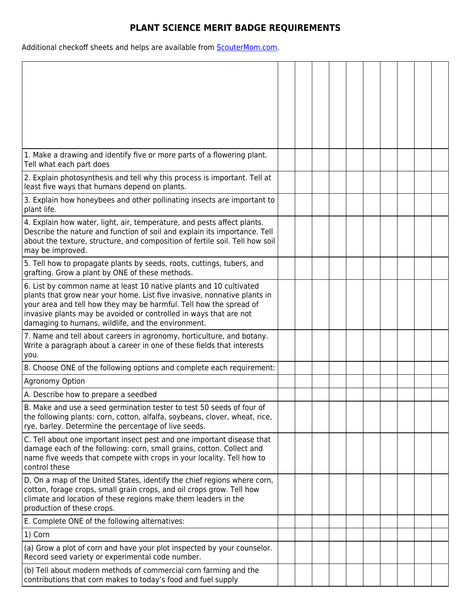## **PLANT SCIENCE MERIT BADGE REQUIREMENTS**

Additional checkoff sheets and helps are available from **ScouterMom.com**.

| 1. Make a drawing and identify five or more parts of a flowering plant.<br>Tell what each part does                                                                                                                                                                                                                                             |  |  |  |  |  |
|-------------------------------------------------------------------------------------------------------------------------------------------------------------------------------------------------------------------------------------------------------------------------------------------------------------------------------------------------|--|--|--|--|--|
| 2. Explain photosynthesis and tell why this process is important. Tell at<br>least five ways that humans depend on plants.                                                                                                                                                                                                                      |  |  |  |  |  |
| 3. Explain how honeybees and other pollinating insects are important to<br>plant life.                                                                                                                                                                                                                                                          |  |  |  |  |  |
| 4. Explain how water, light, air, temperature, and pests affect plants.<br>Describe the nature and function of soil and explain its importance. Tell<br>about the texture, structure, and composition of fertile soil. Tell how soil<br>may be improved.                                                                                        |  |  |  |  |  |
| 5. Tell how to propagate plants by seeds, roots, cuttings, tubers, and<br>grafting. Grow a plant by ONE of these methods.                                                                                                                                                                                                                       |  |  |  |  |  |
| 6. List by common name at least 10 native plants and 10 cultivated<br>plants that grow near your home. List five invasive, nonnative plants in<br>your area and tell how they may be harmful. Tell how the spread of<br>invasive plants may be avoided or controlled in ways that are not<br>damaging to humans, wildlife, and the environment. |  |  |  |  |  |
| 7. Name and tell about careers in agronomy, horticulture, and botany.<br>Write a paragraph about a career in one of these fields that interests<br>you.                                                                                                                                                                                         |  |  |  |  |  |
| 8. Choose ONE of the following options and complete each requirement:                                                                                                                                                                                                                                                                           |  |  |  |  |  |
| Agronomy Option                                                                                                                                                                                                                                                                                                                                 |  |  |  |  |  |
| A. Describe how to prepare a seedbed                                                                                                                                                                                                                                                                                                            |  |  |  |  |  |
| B. Make and use a seed germination tester to test 50 seeds of four of<br>the following plants: corn, cotton, alfalfa, soybeans, clover, wheat, rice,<br>rye, barley. Determine the percentage of live seeds.                                                                                                                                    |  |  |  |  |  |
| C. Tell about one important insect pest and one important disease that<br>damage each of the following: corn, small grains, cotton. Collect and<br>name five weeds that compete with crops in your locality. Tell how to<br>control these                                                                                                       |  |  |  |  |  |
| D. On a map of the United States, identify the chief regions where corn,<br>cotton, forage crops, small grain crops, and oil crops grow. Tell how<br>climate and location of these regions make them leaders in the<br>production of these crops.                                                                                               |  |  |  |  |  |
| E. Complete ONE of the following alternatives:                                                                                                                                                                                                                                                                                                  |  |  |  |  |  |
| 1) Corn                                                                                                                                                                                                                                                                                                                                         |  |  |  |  |  |
| (a) Grow a plot of corn and have your plot inspected by your counselor.<br>Record seed variety or experimental code number.                                                                                                                                                                                                                     |  |  |  |  |  |
| (b) Tell about modern methods of commercial corn farming and the<br>contributions that corn makes to today's food and fuel supply                                                                                                                                                                                                               |  |  |  |  |  |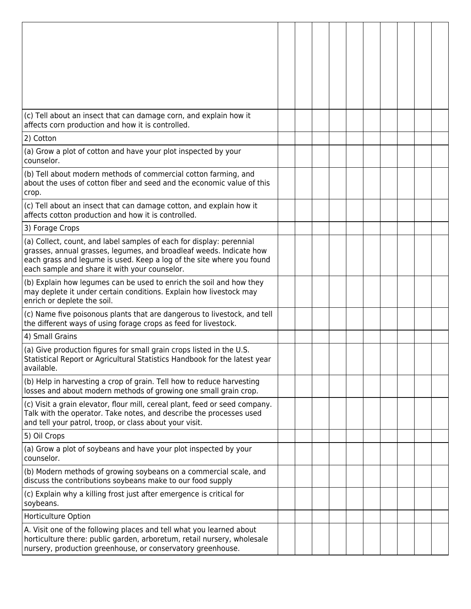| (c) Tell about an insect that can damage corn, and explain how it                                                                                                                                                                                                     |  |  |  |  |  |
|-----------------------------------------------------------------------------------------------------------------------------------------------------------------------------------------------------------------------------------------------------------------------|--|--|--|--|--|
| affects corn production and how it is controlled.                                                                                                                                                                                                                     |  |  |  |  |  |
| 2) Cotton                                                                                                                                                                                                                                                             |  |  |  |  |  |
| (a) Grow a plot of cotton and have your plot inspected by your<br>counselor.                                                                                                                                                                                          |  |  |  |  |  |
| (b) Tell about modern methods of commercial cotton farming, and<br>about the uses of cotton fiber and seed and the economic value of this<br>crop.                                                                                                                    |  |  |  |  |  |
| (c) Tell about an insect that can damage cotton, and explain how it<br>affects cotton production and how it is controlled.                                                                                                                                            |  |  |  |  |  |
| 3) Forage Crops                                                                                                                                                                                                                                                       |  |  |  |  |  |
| (a) Collect, count, and label samples of each for display: perennial<br>grasses, annual grasses, legumes, and broadleaf weeds. Indicate how<br>each grass and legume is used. Keep a log of the site where you found<br>each sample and share it with your counselor. |  |  |  |  |  |
| (b) Explain how legumes can be used to enrich the soil and how they<br>may deplete it under certain conditions. Explain how livestock may<br>enrich or deplete the soil.                                                                                              |  |  |  |  |  |
| (c) Name five poisonous plants that are dangerous to livestock, and tell<br>the different ways of using forage crops as feed for livestock.                                                                                                                           |  |  |  |  |  |
| 4) Small Grains                                                                                                                                                                                                                                                       |  |  |  |  |  |
| (a) Give production figures for small grain crops listed in the U.S.<br>Statistical Report or Agricultural Statistics Handbook for the latest year<br>available.                                                                                                      |  |  |  |  |  |
| (b) Help in harvesting a crop of grain. Tell how to reduce harvesting<br>losses and about modern methods of growing one small grain crop.                                                                                                                             |  |  |  |  |  |
| (c) Visit a grain elevator, flour mill, cereal plant, feed or seed company.<br>Talk with the operator. Take notes, and describe the processes used<br>and tell your patrol, troop, or class about your visit.                                                         |  |  |  |  |  |
| 5) Oil Crops                                                                                                                                                                                                                                                          |  |  |  |  |  |
| (a) Grow a plot of soybeans and have your plot inspected by your<br>counselor.                                                                                                                                                                                        |  |  |  |  |  |
| (b) Modern methods of growing soybeans on a commercial scale, and<br>discuss the contributions soybeans make to our food supply                                                                                                                                       |  |  |  |  |  |
| (c) Explain why a killing frost just after emergence is critical for<br>soybeans.                                                                                                                                                                                     |  |  |  |  |  |
| Horticulture Option                                                                                                                                                                                                                                                   |  |  |  |  |  |
| A. Visit one of the following places and tell what you learned about<br>horticulture there: public garden, arboretum, retail nursery, wholesale<br>nursery, production greenhouse, or conservatory greenhouse.                                                        |  |  |  |  |  |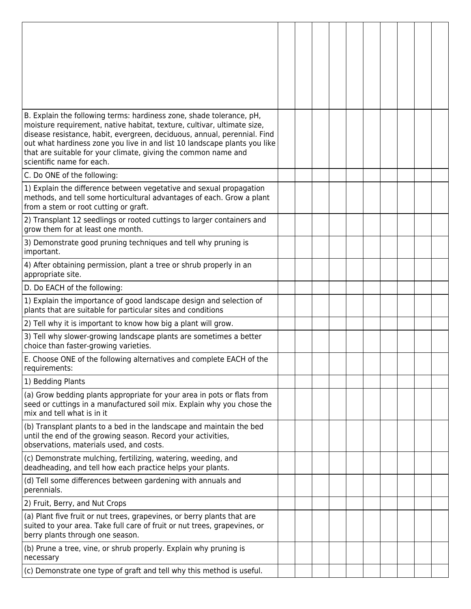| B. Explain the following terms: hardiness zone, shade tolerance, pH,<br>moisture requirement, native habitat, texture, cultivar, ultimate size,<br>disease resistance, habit, evergreen, deciduous, annual, perennial. Find<br>out what hardiness zone you live in and list 10 landscape plants you like<br>that are suitable for your climate, giving the common name and<br>scientific name for each. |  |  |  |  |  |
|---------------------------------------------------------------------------------------------------------------------------------------------------------------------------------------------------------------------------------------------------------------------------------------------------------------------------------------------------------------------------------------------------------|--|--|--|--|--|
| C. Do ONE of the following:                                                                                                                                                                                                                                                                                                                                                                             |  |  |  |  |  |
| 1) Explain the difference between vegetative and sexual propagation<br>methods, and tell some horticultural advantages of each. Grow a plant<br>from a stem or root cutting or graft.                                                                                                                                                                                                                   |  |  |  |  |  |
| 2) Transplant 12 seedlings or rooted cuttings to larger containers and<br>grow them for at least one month.                                                                                                                                                                                                                                                                                             |  |  |  |  |  |
| 3) Demonstrate good pruning techniques and tell why pruning is<br>important.                                                                                                                                                                                                                                                                                                                            |  |  |  |  |  |
| 4) After obtaining permission, plant a tree or shrub properly in an<br>appropriate site.                                                                                                                                                                                                                                                                                                                |  |  |  |  |  |
| D. Do EACH of the following:                                                                                                                                                                                                                                                                                                                                                                            |  |  |  |  |  |
| 1) Explain the importance of good landscape design and selection of<br>plants that are suitable for particular sites and conditions                                                                                                                                                                                                                                                                     |  |  |  |  |  |
| 2) Tell why it is important to know how big a plant will grow.                                                                                                                                                                                                                                                                                                                                          |  |  |  |  |  |
| 3) Tell why slower-growing landscape plants are sometimes a better<br>choice than faster-growing varieties.                                                                                                                                                                                                                                                                                             |  |  |  |  |  |
| E. Choose ONE of the following alternatives and complete EACH of the<br>requirements:                                                                                                                                                                                                                                                                                                                   |  |  |  |  |  |
| 1) Bedding Plants                                                                                                                                                                                                                                                                                                                                                                                       |  |  |  |  |  |
| (a) Grow bedding plants appropriate for your area in pots or flats from<br>seed or cuttings in a manufactured soil mix. Explain why you chose the<br>mix and tell what is in it                                                                                                                                                                                                                         |  |  |  |  |  |
| (b) Transplant plants to a bed in the landscape and maintain the bed<br>until the end of the growing season. Record your activities,<br>observations, materials used, and costs.                                                                                                                                                                                                                        |  |  |  |  |  |
| (c) Demonstrate mulching, fertilizing, watering, weeding, and<br>deadheading, and tell how each practice helps your plants.                                                                                                                                                                                                                                                                             |  |  |  |  |  |
| (d) Tell some differences between gardening with annuals and<br>perennials.                                                                                                                                                                                                                                                                                                                             |  |  |  |  |  |
| 2) Fruit, Berry, and Nut Crops                                                                                                                                                                                                                                                                                                                                                                          |  |  |  |  |  |
| (a) Plant five fruit or nut trees, grapevines, or berry plants that are<br>suited to your area. Take full care of fruit or nut trees, grapevines, or<br>berry plants through one season.                                                                                                                                                                                                                |  |  |  |  |  |
| (b) Prune a tree, vine, or shrub properly. Explain why pruning is<br>necessary                                                                                                                                                                                                                                                                                                                          |  |  |  |  |  |
| (c) Demonstrate one type of graft and tell why this method is useful.                                                                                                                                                                                                                                                                                                                                   |  |  |  |  |  |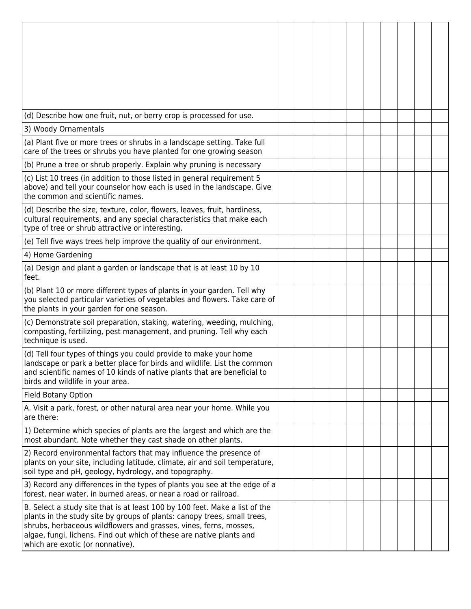| (d) Describe how one fruit, nut, or berry crop is processed for use.                                                                                                                                                                                                                                                                     |  |  |  |  |  |
|------------------------------------------------------------------------------------------------------------------------------------------------------------------------------------------------------------------------------------------------------------------------------------------------------------------------------------------|--|--|--|--|--|
| 3) Woody Ornamentals                                                                                                                                                                                                                                                                                                                     |  |  |  |  |  |
| (a) Plant five or more trees or shrubs in a landscape setting. Take full<br>care of the trees or shrubs you have planted for one growing season                                                                                                                                                                                          |  |  |  |  |  |
| (b) Prune a tree or shrub properly. Explain why pruning is necessary                                                                                                                                                                                                                                                                     |  |  |  |  |  |
| (c) List 10 trees (in addition to those listed in general requirement 5<br>above) and tell your counselor how each is used in the landscape. Give<br>the common and scientific names.                                                                                                                                                    |  |  |  |  |  |
| (d) Describe the size, texture, color, flowers, leaves, fruit, hardiness,<br>cultural requirements, and any special characteristics that make each<br>type of tree or shrub attractive or interesting.                                                                                                                                   |  |  |  |  |  |
| (e) Tell five ways trees help improve the quality of our environment.                                                                                                                                                                                                                                                                    |  |  |  |  |  |
| 4) Home Gardening                                                                                                                                                                                                                                                                                                                        |  |  |  |  |  |
| (a) Design and plant a garden or landscape that is at least 10 by 10<br>feet.                                                                                                                                                                                                                                                            |  |  |  |  |  |
| (b) Plant 10 or more different types of plants in your garden. Tell why<br>you selected particular varieties of vegetables and flowers. Take care of<br>the plants in your garden for one season.                                                                                                                                        |  |  |  |  |  |
| (c) Demonstrate soil preparation, staking, watering, weeding, mulching,<br>composting, fertilizing, pest management, and pruning. Tell why each<br>technique is used.                                                                                                                                                                    |  |  |  |  |  |
| (d) Tell four types of things you could provide to make your home<br>landscape or park a better place for birds and wildlife. List the common<br>and scientific names of 10 kinds of native plants that are beneficial to<br>birds and wildlife in your area.                                                                            |  |  |  |  |  |
| Field Botany Option                                                                                                                                                                                                                                                                                                                      |  |  |  |  |  |
| A. Visit a park, forest, or other natural area near your home. While you<br>are there:                                                                                                                                                                                                                                                   |  |  |  |  |  |
| 1) Determine which species of plants are the largest and which are the<br>most abundant. Note whether they cast shade on other plants.                                                                                                                                                                                                   |  |  |  |  |  |
| 2) Record environmental factors that may influence the presence of<br>plants on your site, including latitude, climate, air and soil temperature,<br>soil type and pH, geology, hydrology, and topography.                                                                                                                               |  |  |  |  |  |
| 3) Record any differences in the types of plants you see at the edge of a<br>forest, near water, in burned areas, or near a road or railroad.                                                                                                                                                                                            |  |  |  |  |  |
| B. Select a study site that is at least 100 by 100 feet. Make a list of the<br>plants in the study site by groups of plants: canopy trees, small trees,<br>shrubs, herbaceous wildflowers and grasses, vines, ferns, mosses,<br>algae, fungi, lichens. Find out which of these are native plants and<br>which are exotic (or nonnative). |  |  |  |  |  |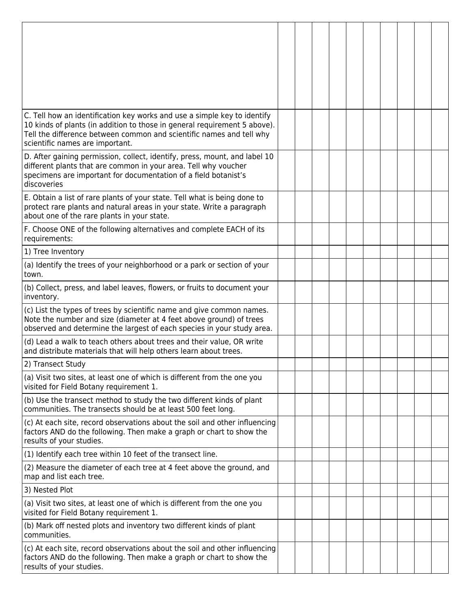| C. Tell how an identification key works and use a simple key to identify<br>10 kinds of plants (in addition to those in general requirement 5 above).<br>Tell the difference between common and scientific names and tell why<br>scientific names are important. |  |  |  |  |  |
|------------------------------------------------------------------------------------------------------------------------------------------------------------------------------------------------------------------------------------------------------------------|--|--|--|--|--|
| D. After gaining permission, collect, identify, press, mount, and label 10<br>different plants that are common in your area. Tell why voucher<br>specimens are important for documentation of a field botanist's<br>discoveries                                  |  |  |  |  |  |
| E. Obtain a list of rare plants of your state. Tell what is being done to<br>protect rare plants and natural areas in your state. Write a paragraph<br>about one of the rare plants in your state.                                                               |  |  |  |  |  |
| F. Choose ONE of the following alternatives and complete EACH of its<br>requirements:                                                                                                                                                                            |  |  |  |  |  |
| 1) Tree Inventory                                                                                                                                                                                                                                                |  |  |  |  |  |
| (a) Identify the trees of your neighborhood or a park or section of your<br>town.                                                                                                                                                                                |  |  |  |  |  |
| (b) Collect, press, and label leaves, flowers, or fruits to document your<br>inventory.                                                                                                                                                                          |  |  |  |  |  |
| (c) List the types of trees by scientific name and give common names.<br>Note the number and size (diameter at 4 feet above ground) of trees<br>observed and determine the largest of each species in your study area.                                           |  |  |  |  |  |
| (d) Lead a walk to teach others about trees and their value, OR write<br>and distribute materials that will help others learn about trees.                                                                                                                       |  |  |  |  |  |
| 2) Transect Study                                                                                                                                                                                                                                                |  |  |  |  |  |
| (a) Visit two sites, at least one of which is different from the one you<br>visited for Field Botany requirement 1.                                                                                                                                              |  |  |  |  |  |
| (b) Use the transect method to study the two different kinds of plant<br>communities. The transects should be at least 500 feet long.                                                                                                                            |  |  |  |  |  |
| (c) At each site, record observations about the soil and other influencing<br>factors AND do the following. Then make a graph or chart to show the<br>results of your studies.                                                                                   |  |  |  |  |  |
| (1) Identify each tree within 10 feet of the transect line.                                                                                                                                                                                                      |  |  |  |  |  |
| (2) Measure the diameter of each tree at 4 feet above the ground, and<br>map and list each tree.                                                                                                                                                                 |  |  |  |  |  |
| 3) Nested Plot                                                                                                                                                                                                                                                   |  |  |  |  |  |
| (a) Visit two sites, at least one of which is different from the one you<br>visited for Field Botany requirement 1.                                                                                                                                              |  |  |  |  |  |
| (b) Mark off nested plots and inventory two different kinds of plant<br>communities.                                                                                                                                                                             |  |  |  |  |  |
| (c) At each site, record observations about the soil and other influencing<br>factors AND do the following. Then make a graph or chart to show the<br>results of your studies.                                                                                   |  |  |  |  |  |